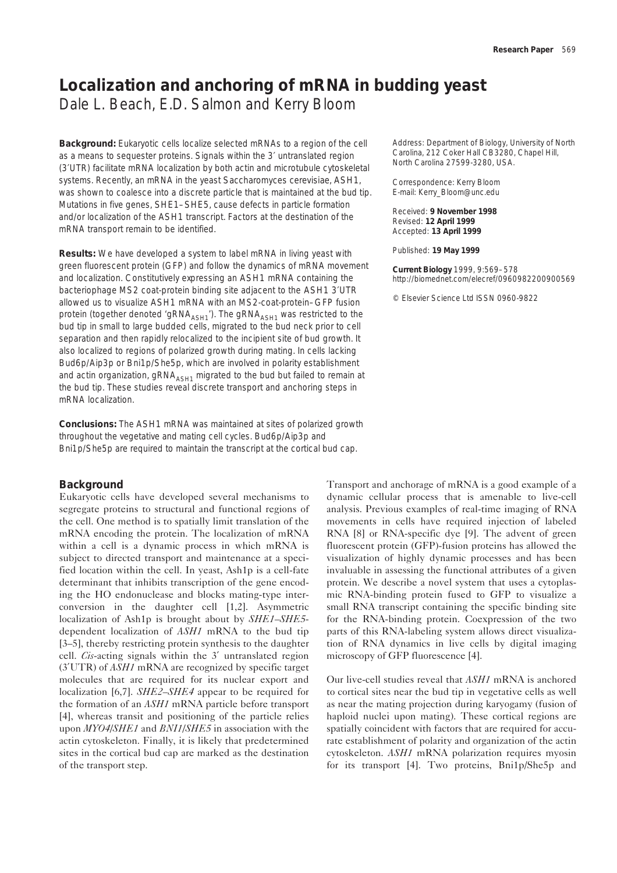# **Localization and anchoring of mRNA in budding yeast**

Dale L. Beach, E.D. Salmon and Kerry Bloom

**Background:** Eukaryotic cells localize selected mRNAs to a region of the cell as a means to sequester proteins. Signals within the 3′ untranslated region (3′UTR) facilitate mRNA localization by both actin and microtubule cytoskeletal systems. Recently, an mRNA in the yeast *Saccharomyces cerevisiae, ASH1*, was shown to coalesce into a discrete particle that is maintained at the bud tip. Mutations in five genes, *SHE1–SHE5*, cause defects in particle formation and/or localization of the *ASH1* transcript. Factors at the destination of the mRNA transport remain to be identified.

**Results:** We have developed a system to label mRNA in living yeast with green fluorescent protein (GFP) and follow the dynamics of mRNA movement and localization. Constitutively expressing an *ASH1* mRNA containing the bacteriophage MS2 coat-protein binding site adjacent to the *ASH1* 3′UTR allowed us to visualize *ASH1* mRNA with an MS2-coat-protein–GFP fusion protein (together denoted 'gRNA<sub>ASH1</sub>'). The gRNA<sub>ASH1</sub> was restricted to the bud tip in small to large budded cells, migrated to the bud neck prior to cell separation and then rapidly relocalized to the incipient site of bud growth. It also localized to regions of polarized growth during mating. In cells lacking Bud6p/Aip3p or Bni1p/She5p, which are involved in polarity establishment and actin organization, gRNA<sub>ASH1</sub> migrated to the bud but failed to remain at the bud tip. These studies reveal discrete transport and anchoring steps in mRNA localization.

**Conclusions:** The *ASH1* mRNA was maintained at sites of polarized growth throughout the vegetative and mating cell cycles. Bud6p/Aip3p and Bni1p/She5p are required to maintain the transcript at the cortical bud cap.

# **Background**

Eukaryotic cells have developed several mechanisms to segregate proteins to structural and functional regions of the cell. One method is to spatially limit translation of the mRNA encoding the protein. The localization of mRNA within a cell is a dynamic process in which mRNA is subject to directed transport and maintenance at a specified location within the cell. In yeast, Ash1p is a cell-fate determinant that inhibits transcription of the gene encoding the HO endonuclease and blocks mating-type interconversion in the daughter cell [1,2]. Asymmetric localization of Ash1p is brought about by *SHE1–SHE5* dependent localization of *ASH1* mRNA to the bud tip [3–5], thereby restricting protein synthesis to the daughter cell. *Cis*-acting signals within the 3′ untranslated region (3′UTR) of *ASH1* mRNA are recognized by specific target molecules that are required for its nuclear export and localization [6,7]. *SHE2–SHE4* appear to be required for the formation of an *ASH1* mRNA particle before transport [4], whereas transit and positioning of the particle relies upon *MYO4/SHE1* and *BNI1/SHE5* in association with the actin cytoskeleton. Finally, it is likely that predetermined sites in the cortical bud cap are marked as the destination of the transport step.

Address: Department of Biology, University of North Carolina, 212 Coker Hall CB3280, Chapel Hill, North Carolina 27599-3280, USA.

Correspondence: Kerry Bloom E-mail: Kerry\_Bloom@unc.edu

Received: **9 November 1998** Revised: **12 April 1999** Accepted: **13 April 1999**

Published: **19 May 1999**

**Current Biology** 1999, 9:569–578 http://biomednet.com/elecref/0960982200900569

© Elsevier Science Ltd ISSN 0960-9822

Transport and anchorage of mRNA is a good example of a dynamic cellular process that is amenable to live-cell analysis. Previous examples of real-time imaging of RNA movements in cells have required injection of labeled RNA [8] or RNA-specific dye [9]. The advent of green fluorescent protein (GFP)-fusion proteins has allowed the visualization of highly dynamic processes and has been invaluable in assessing the functional attributes of a given protein. We describe a novel system that uses a cytoplasmic RNA-binding protein fused to GFP to visualize a small RNA transcript containing the specific binding site for the RNA-binding protein. Coexpression of the two parts of this RNA-labeling system allows direct visualization of RNA dynamics in live cells by digital imaging microscopy of GFP fluorescence [4].

Our live-cell studies reveal that *ASH1* mRNA is anchored to cortical sites near the bud tip in vegetative cells as well as near the mating projection during karyogamy (fusion of haploid nuclei upon mating). These cortical regions are spatially coincident with factors that are required for accurate establishment of polarity and organization of the actin cytoskeleton. *ASH1* mRNA polarization requires myosin for its transport [4]. Two proteins, Bni1p/She5p and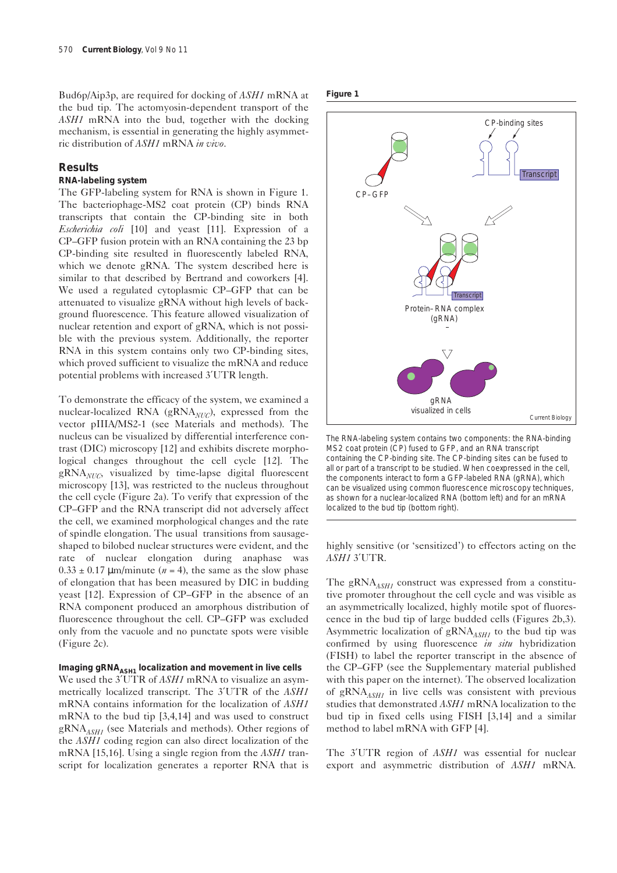Bud6p/Aip3p, are required for docking of *ASH1* mRNA at the bud tip. The actomyosin-dependent transport of the *ASH1* mRNA into the bud, together with the docking mechanism, is essential in generating the highly asymmetric distribution of *ASH1* mRNA *in vivo*.

### **Results**

## **RNA-labeling system**

The GFP-labeling system for RNA is shown in Figure 1. The bacteriophage-MS2 coat protein (CP) binds RNA transcripts that contain the CP-binding site in both *Escherichia coli* [10] and yeast [11]. Expression of a CP–GFP fusion protein with an RNA containing the 23 bp CP-binding site resulted in fluorescently labeled RNA, which we denote gRNA. The system described here is similar to that described by Bertrand and coworkers [4]. We used a regulated cytoplasmic CP–GFP that can be attenuated to visualize gRNA without high levels of background fluorescence. This feature allowed visualization of nuclear retention and export of gRNA, which is not possible with the previous system. Additionally, the reporter RNA in this system contains only two CP-binding sites, which proved sufficient to visualize the mRNA and reduce potential problems with increased 3′UTR length.

To demonstrate the efficacy of the system, we examined a nuclear-localized RNA (gRNA<sub>NUC</sub>), expressed from the vector pIIIA/MS2-1 (see Materials and methods). The nucleus can be visualized by differential interference contrast (DIC) microscopy [12] and exhibits discrete morphological changes throughout the cell cycle [12]. The gRNA*NUC*, visualized by time-lapse digital fluorescent microscopy [13], was restricted to the nucleus throughout the cell cycle (Figure 2a). To verify that expression of the CP–GFP and the RNA transcript did not adversely affect the cell, we examined morphological changes and the rate of spindle elongation. The usual transitions from sausageshaped to bilobed nuclear structures were evident, and the rate of nuclear elongation during anaphase was  $0.33 \pm 0.17 \,\mu\text{m/minute}$  ( $n = 4$ ), the same as the slow phase of elongation that has been measured by DIC in budding yeast [12]. Expression of CP–GFP in the absence of an RNA component produced an amorphous distribution of fluorescence throughout the cell. CP–GFP was excluded only from the vacuole and no punctate spots were visible (Figure 2c).

#### Imaging gRNA<sub>ASH1</sub> localization and movement in live cells

We used the 3′UTR of *ASH1* mRNA to visualize an asymmetrically localized transcript. The 3′UTR of the *ASH1* mRNA contains information for the localization of *ASH1* mRNA to the bud tip [3,4,14] and was used to construct gRNA<sub>ASH1</sub> (see Materials and methods). Other regions of the *ASH1* coding region can also direct localization of the mRNA [15,16]. Using a single region from the *ASH1* transcript for localization generates a reporter RNA that is





The RNA-labeling system contains two components: the RNA-binding MS2 coat protein (CP) fused to GFP, and an RNA transcript containing the CP-binding site. The CP-binding sites can be fused to all or part of a transcript to be studied. When coexpressed in the cell, the components interact to form a GFP-labeled RNA (gRNA), which can be visualized using common fluorescence microscopy techniques, as shown for a nuclear-localized RNA (bottom left) and for an mRNA localized to the bud tip (bottom right).

highly sensitive (or 'sensitized') to effectors acting on the *ASH1* 3′UTR.

The gRNA<sub>ASH1</sub> construct was expressed from a constitutive promoter throughout the cell cycle and was visible as an asymmetrically localized, highly motile spot of fluorescence in the bud tip of large budded cells (Figures 2b,3). Asymmetric localization of gRNA<sub>ASH1</sub> to the bud tip was confirmed by using fluorescence *in situ* hybridization (FISH) to label the reporter transcript in the absence of the CP–GFP (see the Supplementary material published with this paper on the internet). The observed localization of gRNA*ASH1* in live cells was consistent with previous studies that demonstrated *ASH1* mRNA localization to the bud tip in fixed cells using FISH [3,14] and a similar method to label mRNA with GFP [4].

The 3′UTR region of *ASH1* was essential for nuclear export and asymmetric distribution of *ASH1* mRNA.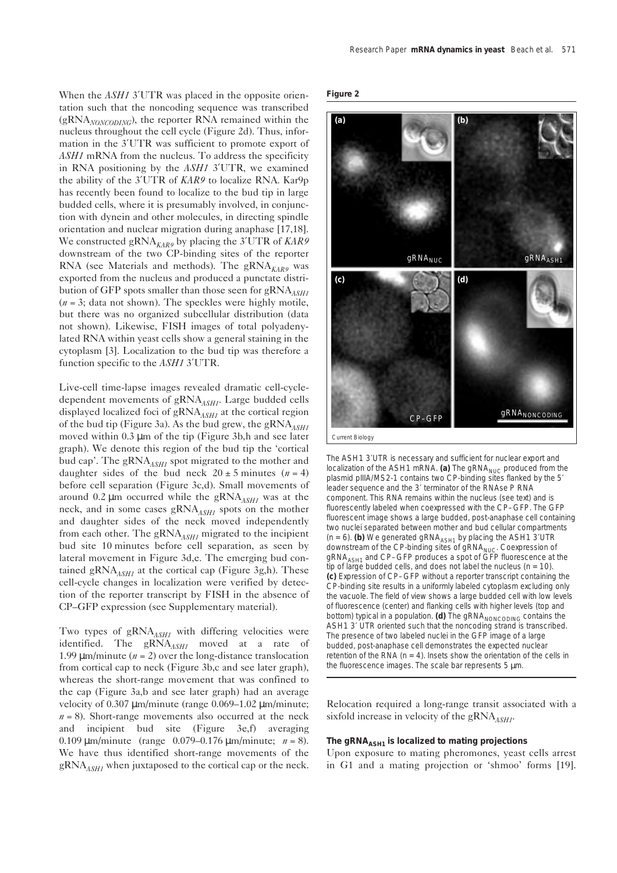When the *ASH1* 3'UTR was placed in the opposite orientation such that the noncoding sequence was transcribed (gRNA*NONCODING*), the reporter RNA remained within the nucleus throughout the cell cycle (Figure 2d). Thus, information in the 3′UTR was sufficient to promote export of *ASH1* mRNA from the nucleus. To address the specificity in RNA positioning by the *ASH1* 3′UTR, we examined the ability of the 3′UTR of *KAR9* to localize RNA. Kar9p has recently been found to localize to the bud tip in large budded cells, where it is presumably involved, in conjunction with dynein and other molecules, in directing spindle orientation and nuclear migration during anaphase [17,18]. We constructed gRNA<sub>KAR9</sub> by placing the 3'UTR of *KAR9* downstream of the two CP-binding sites of the reporter RNA (see Materials and methods). The gRNA<sub>KAR9</sub> was exported from the nucleus and produced a punctate distribution of GFP spots smaller than those seen for gRNA<sub>ASH1</sub> (*n* = 3; data not shown). The speckles were highly motile, but there was no organized subcellular distribution (data not shown). Likewise, FISH images of total polyadenylated RNA within yeast cells show a general staining in the cytoplasm [3]. Localization to the bud tip was therefore a function specific to the *ASH1* 3′UTR.

Live-cell time-lapse images revealed dramatic cell-cycledependent movements of gRNA<sub>ASH1</sub>. Large budded cells displayed localized foci of gRNA*ASH1* at the cortical region of the bud tip (Figure 3a). As the bud grew, the gRNA<sub>ASH1</sub> moved within 0.3 µm of the tip (Figure 3b,h and see later graph). We denote this region of the bud tip the 'cortical bud cap'. The gRNA<sub>ASH1</sub> spot migrated to the mother and daughter sides of the bud neck  $20 \pm 5$  minutes  $(n = 4)$ before cell separation (Figure 3c,d). Small movements of around 0.2 µm occurred while the gRNA<sub>ASH1</sub> was at the neck, and in some cases gRNA*ASH1* spots on the mother and daughter sides of the neck moved independently from each other. The gRNA<sub>ASH1</sub> migrated to the incipient bud site 10 minutes before cell separation, as seen by lateral movement in Figure 3d,e. The emerging bud contained  $\text{gRNA}_{\text{ASHI}}$  at the cortical cap (Figure 3g,h). These cell-cycle changes in localization were verified by detection of the reporter transcript by FISH in the absence of CP–GFP expression (see Supplementary material).

Two types of gRNA<sub>ASH1</sub> with differing velocities were identified. The gRNA<sub>ASH1</sub> moved at a rate of 1.99  $\mu$ m/minute ( $n = 2$ ) over the long-distance translocation from cortical cap to neck (Figure 3b,c and see later graph), whereas the short-range movement that was confined to the cap (Figure 3a,b and see later graph) had an average velocity of 0.307 µm/minute (range 0.069–1.02 µm/minute;  $n = 8$ ). Short-range movements also occurred at the neck and incipient bud site (Figure 3e,f) averaging 0.109 µm/minute (range 0.079–0.176 µm/minute; *n* = 8). We have thus identified short-range movements of the  $gRNA$ <sub>*ASH1*</sub> when juxtaposed to the cortical cap or the neck.





The *ASH1* 3′UTR is necessary and sufficient for nuclear export and localization of the ASH1 mRNA. (a) The gRNA<sub>NUC</sub> produced from the plasmid pIIIA/MS2-1 contains two CP-binding sites flanked by the 5′ leader sequence and the 3′ terminator of the RNAse P RNA component. This RNA remains within the nucleus (see text) and is fluorescently labeled when coexpressed with the CP–GFP. The GFP fluorescent image shows a large budded, post-anaphase cell containing two nuclei separated between mother and bud cellular compartments  $(n = 6)$ . (b) We generated gRNA<sub>ASH1</sub> by placing the ASH1 3'UTR downstream of the CP-binding sites of gRNA<sub>NUC</sub>. Coexpression of gRNA*ASH1* and CP–GFP produces a spot of GFP fluorescence at the tip of large budded cells, and does not label the nucleus  $(n = 10)$ . **(c)** Expression of CP–GFP without a reporter transcript containing the CP-binding site results in a uniformly labeled cytoplasm excluding only the vacuole. The field of view shows a large budded cell with low levels of fluorescence (center) and flanking cells with higher levels (top and bottom) typical in a population. (d) The gRNA<sub>NONCODING</sub> contains the *ASH1* 3′ UTR oriented such that the noncoding strand is transcribed. The presence of two labeled nuclei in the GFP image of a large budded, post-anaphase cell demonstrates the expected nuclear retention of the RNA ( $n = 4$ ). Insets show the orientation of the cells in the fluorescence images. The scale bar represents 5 µm.

Relocation required a long-range transit associated with a sixfold increase in velocity of the  $gRNA<sub>ASH1</sub>$ .

## **The gRNA***ASH1* **is localized to mating projections**

Upon exposure to mating pheromones, yeast cells arrest in G1 and a mating projection or 'shmoo' forms [19].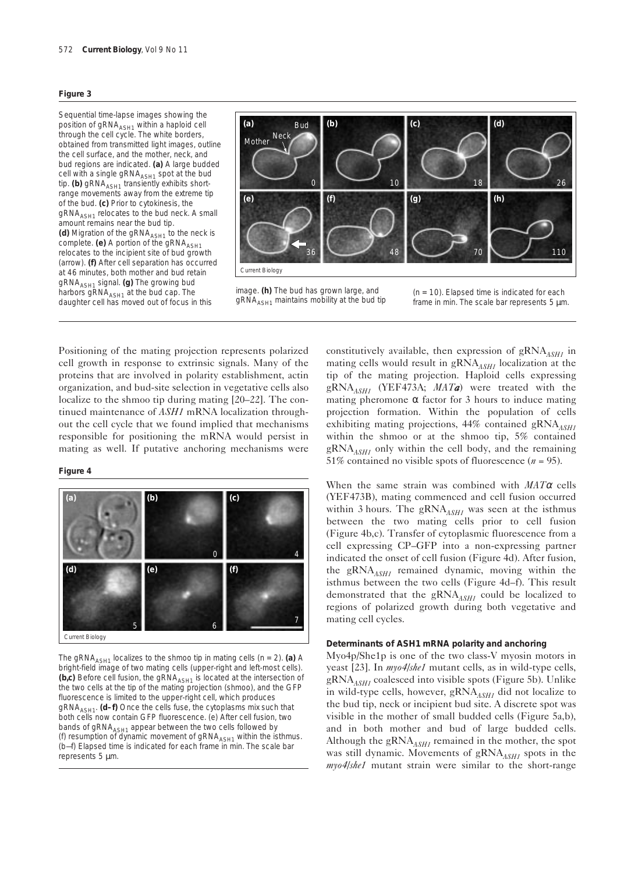#### **Figure 3**

Sequential time-lapse images showing the position of gRNA<sub>ASH1</sub> within a haploid cell through the cell cycle. The white borders, obtained from transmitted light images, outline the cell surface, and the mother, neck, and bud regions are indicated. **(a)** A large budded cell with a single gRNA*ASH1* spot at the bud tip. **(b)** gRNA*ASH1* transiently exhibits shortrange movements away from the extreme tip of the bud. **(c)** Prior to cytokinesis, the gRNA<sub>ASH1</sub> relocates to the bud neck. A small amount remains near the bud tip. (d) Migration of the gRNA<sub>ASH1</sub> to the neck is complete. **(e)** A portion of the gRNA<sub>ASH1</sub> relocates to the incipient site of bud growth (arrow). **(f)** After cell separation has occurred at 46 minutes, both mother and bud retain gRNA*ASH1* signal. **(g)** The growing bud harbors gRNA<sub>ASH1</sub> at the bud cap. The daughter cell has moved out of focus in this



image. **(h)** The bud has grown large, and gRNA*ASH1* maintains mobility at the bud tip



Positioning of the mating projection represents polarized cell growth in response to extrinsic signals. Many of the proteins that are involved in polarity establishment, actin organization, and bud-site selection in vegetative cells also localize to the shmoo tip during mating [20–22]. The continued maintenance of *ASH1* mRNA localization throughout the cell cycle that we found implied that mechanisms responsible for positioning the mRNA would persist in mating as well. If putative anchoring mechanisms were

#### **Figure 4**



The gRNA<sub>ASH1</sub> localizes to the shmoo tip in mating cells ( $n = 2$ ). (a) A bright-field image of two mating cells (upper-right and left-most cells).  $(b, c)$  Before cell fusion, the gRNA<sub> $A<sub>S</sub>H<sub>I</sub>$  is located at the intersection of</sub> the two cells at the tip of the mating projection (shmoo), and the GFP fluorescence is limited to the upper-right cell, which produces gRNA*ASH1*. **(d–f)** Once the cells fuse, the cytoplasms mix such that both cells now contain GFP fluorescence. (e) After cell fusion, two bands of gRNA<sub>ASH1</sub> appear between the two cells followed by (f) resumption of dynamic movement of gRNA<sub>ASH1</sub> within the isthmus. (b—f) Elapsed time is indicated for each frame in min. The scale bar represents 5 µm.

constitutively available, then expression of gRNA<sub>ASH1</sub> in mating cells would result in gRNA<sub>ASH1</sub> localization at the tip of the mating projection. Haploid cells expressing gRNA*ASH1* (YEF473A; *MATa*) were treated with the mating pheromone  $\alpha$  factor for 3 hours to induce mating projection formation. Within the population of cells exhibiting mating projections, 44% contained gRNA<sub>ASH1</sub> within the shmoo or at the shmoo tip, 5% contained  $gRNA<sub>AGH1</sub>$  only within the cell body, and the remaining 51% contained no visible spots of fluorescence  $(n = 95)$ .

When the same strain was combined with *MAT*<sup>α</sup> cells (YEF473B), mating commenced and cell fusion occurred within 3 hours. The gRNA<sub>ASH1</sub> was seen at the isthmus between the two mating cells prior to cell fusion (Figure 4b,c). Transfer of cytoplasmic fluorescence from a cell expressing CP–GFP into a non-expressing partner indicated the onset of cell fusion (Figure 4d). After fusion, the gRNA*ASH1* remained dynamic, moving within the isthmus between the two cells (Figure 4d–f). This result demonstrated that the gRNA<sub>ASH1</sub> could be localized to regions of polarized growth during both vegetative and mating cell cycles.

## **Determinants of** *ASH1* **mRNA polarity and anchoring**

Myo4p/She1p is one of the two class-V myosin motors in yeast [23]. In *myo4/she1* mutant cells, as in wild-type cells, gRNA*ASH1* coalesced into visible spots (Figure 5b). Unlike in wild-type cells, however, gRNA<sub>ASH1</sub> did not localize to the bud tip, neck or incipient bud site. A discrete spot was visible in the mother of small budded cells (Figure 5a,b), and in both mother and bud of large budded cells. Although the gRNA<sub>ASH1</sub> remained in the mother, the spot was still dynamic. Movements of gRNA<sub>ASH1</sub> spots in the *myo4/she1* mutant strain were similar to the short-range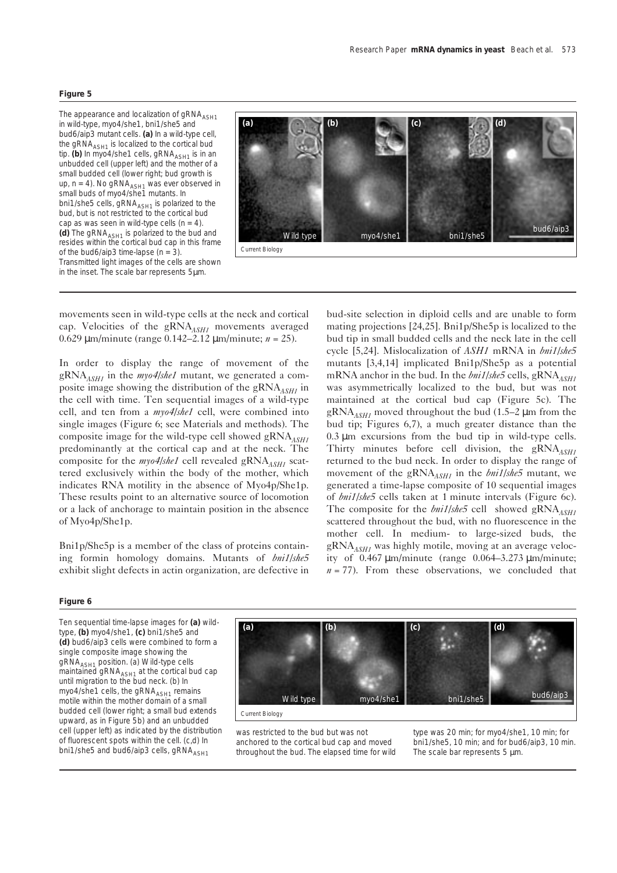The appearance and localization of gRNA<sub>ASH1</sub> in wild-type, *myo4/she1*, *bni1/she5* and *bud6/aip3* mutant cells. **(a)** In a wild-type cell, the gRNA<sub>ASH1</sub> is localized to the cortical bud tip. **(b)** In *myo4/she1* cells, gRNA<sub>ASH1</sub> is in an unbudded cell (upper left) and the mother of a small budded cell (lower right; bud growth is up,  $n = 4$ ). No gRNA<sub>ASH1</sub> was ever observed in small buds of *myo4/she1* mutants. In *bni1/she5* cells, gRNA<sub>ASH1</sub> is polarized to the bud, but is not restricted to the cortical bud cap as was seen in wild-type cells (*n* = 4). (d) The gRNA<sub>ASH1</sub> is polarized to the bud and resides within the cortical bud cap in this frame of the *bud6/aip3* time-lapse (*n* = 3). Transmitted light images of the cells are shown in the inset. The scale bar represents 5µm.



movements seen in wild-type cells at the neck and cortical cap. Velocities of the gRNA*ASH1* movements averaged 0.629 µm/minute (range 0.142–2.12 µm/minute; *n* = 25).

In order to display the range of movement of the gRNA*ASH1* in the *myo4/she1* mutant, we generated a composite image showing the distribution of the gRNA<sub>ASH1</sub> in the cell with time. Ten sequential images of a wild-type cell, and ten from a *myo4/she1* cell, were combined into single images (Figure 6; see Materials and methods). The composite image for the wild-type cell showed gRNA<sub>ASH1</sub> predominantly at the cortical cap and at the neck. The composite for the *myo4/she1* cell revealed gRNA<sub>ASH1</sub> scattered exclusively within the body of the mother, which indicates RNA motility in the absence of Myo4p/She1p. These results point to an alternative source of locomotion or a lack of anchorage to maintain position in the absence of Myo4p/She1p.

Bni1p/She5p is a member of the class of proteins containing formin homology domains. Mutants of *bni1/she5* exhibit slight defects in actin organization, are defective in bud-site selection in diploid cells and are unable to form mating projections [24,25]. Bni1p/She5p is localized to the bud tip in small budded cells and the neck late in the cell cycle [5,24]. Mislocalization of *ASH1* mRNA in *bni1/she5* mutants [3,4,14] implicated Bni1p/She5p as a potential mRNA anchor in the bud. In the *bni1/she5* cells, gRNA<sub>ASH1</sub> was asymmetrically localized to the bud, but was not maintained at the cortical bud cap (Figure 5c). The  $gRNA$ <sub>*ASH1*</sub> moved throughout the bud (1.5–2 µm from the bud tip; Figures 6,7), a much greater distance than the 0.3 µm excursions from the bud tip in wild-type cells. Thirty minutes before cell division, the gRNA<sub>ASH1</sub> returned to the bud neck. In order to display the range of movement of the gRNA<sub>ASH1</sub> in the *bni1/she*5 mutant, we generated a time-lapse composite of 10 sequential images of *bni1/she5* cells taken at 1 minute intervals (Figure 6c). The composite for the *bni1/she5* cell showed gRNA<sub>ASH1</sub> scattered throughout the bud, with no fluorescence in the mother cell. In medium- to large-sized buds, the gRNA<sub>ASH1</sub> was highly motile, moving at an average velocity of  $0.467 \mu$ m/minute (range  $0.064 - 3.273 \mu$ m/minute;  $n = 77$ ). From these observations, we concluded that

#### **Figure 6**

Ten sequential time-lapse images for **(a)** wildtype, **(b)** *myo4/she1*, **(c)** *bni1/she5* and **(d)** *bud6/aip3* cells were combined to form a single composite image showing the gRNA*ASH1* position. (a) Wild-type cells maintained gRNA<sub>ASH1</sub> at the cortical bud cap until migration to the bud neck. (b) In *myo4/she1* cells, the gRNA<sub>ASH1</sub> remains motile within the mother domain of a small budded cell (lower right; a small bud extends upward, as in Figure 5b) and an unbudded cell (upper left) as indicated by the distribution of fluorescent spots within the cell. (c,d) In *bni1/she5* and *bud6/aip3* cells, gRNA<sub>4SH1</sub>



was restricted to the bud but was not anchored to the cortical bud cap and moved throughout the bud. The elapsed time for wild type was 20 min; for *myo4/she1*, 10 min; for *bni1/she5*, 10 min; and for *bud6/aip3*, 10 min. The scale bar represents 5  $\mu$ m.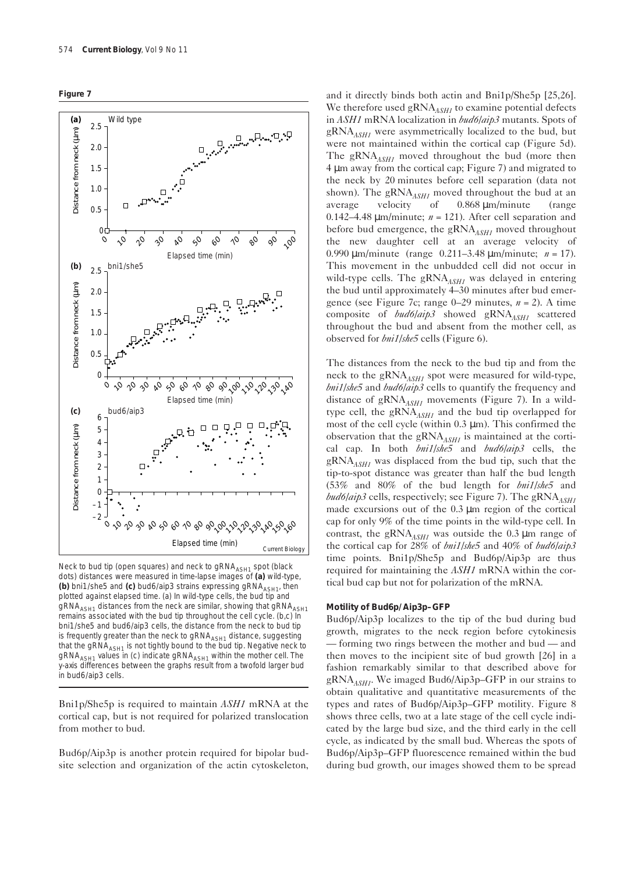



Neck to bud tip (open squares) and neck to gRNA<sub>ASH1</sub> spot (black dots) distances were measured in time-lapse images of **(a)** wild-type, **(b)** *bni1/she5* and **(c)** *bud6/aip3* strains expressing  $qRNA<sub>AGH1</sub>$ , then plotted against elapsed time. (a) In wild-type cells, the bud tip and gRNA<sub>ASH1</sub> distances from the neck are similar, showing that gRNA<sub>ASH1</sub> remains associated with the bud tip throughout the cell cycle. (b,c) In *bni1/she5* and *bud6/aip3* cells, the distance from the neck to bud tip is frequently greater than the neck to gRNA<sub>ASH1</sub> distance, suggesting that the gRNA*ASH1* is not tightly bound to the bud tip. Negative neck to gRNA*ASH1* values in (c) indicate gRNA*ASH1* within the mother cell. The y-axis differences between the graphs result from a twofold larger bud in *bud6/aip3* cells.

Bni1p/She5p is required to maintain *ASH1* mRNA at the cortical cap, but is not required for polarized translocation from mother to bud.

Bud6p/Aip3p is another protein required for bipolar budsite selection and organization of the actin cytoskeleton, and it directly binds both actin and Bni1p/She5p [25,26]. We therefore used gRNA<sub>ASH1</sub> to examine potential defects in *ASH1* mRNA localization in *bud6/aip3* mutants. Spots of  $gRNA<sub>AGH1</sub>$  were asymmetrically localized to the bud, but were not maintained within the cortical cap (Figure 5d). The gRNA<sub>ASH1</sub> moved throughout the bud (more then 4 µm away from the cortical cap; Figure 7) and migrated to the neck by 20 minutes before cell separation (data not shown). The  $gRNA$ <sub>*ASH1*</sub> moved throughout the bud at an average velocity of 0.868 µm/minute (range 0.142–4.48  $\mu$ m/minute;  $n = 121$ ). After cell separation and before bud emergence, the gRNA<sub>ASH1</sub> moved throughout the new daughter cell at an average velocity of 0.990 µm/minute (range 0.211–3.48 µm/minute; *n* = 17). This movement in the unbudded cell did not occur in wild-type cells. The  $gRNA$ <sub>*ASH1*</sub> was delayed in entering the bud until approximately 4–30 minutes after bud emergence (see Figure 7c; range 0–29 minutes, *n* = 2). A time composite of *bud6/aip3* showed gRNA<sub>ASH1</sub> scattered throughout the bud and absent from the mother cell, as observed for *bni1/she5* cells (Figure 6).

The distances from the neck to the bud tip and from the neck to the gRNA<sub>ASH1</sub> spot were measured for wild-type, *bni1/she5* and *bud6/aip3* cells to quantify the frequency and distance of gRNA*ASH1* movements (Figure 7). In a wildtype cell, the gRNA*ASH1* and the bud tip overlapped for most of the cell cycle (within  $0.3 \mu m$ ). This confirmed the observation that the gRNA*ASH1* is maintained at the cortical cap. In both *bni1/she5* and *bud6/aip3* cells, the  $gRNA$ <sub>*ASH1</sub>* was displaced from the bud tip, such that the</sub> tip-to-spot distance was greater than half the bud length (53% and 80% of the bud length for *bni1/she5* and *bud6/aip3* cells, respectively; see Figure 7). The gRNA<sub>ASH1</sub> made excursions out of the 0.3 µm region of the cortical cap for only 9% of the time points in the wild-type cell. In contrast, the gRNA $_{ASHI}$  was outside the 0.3 µm range of the cortical cap for 28% of *bni1/she5* and 40% of *bud6/aip3* time points. Bni1p/She5p and Bud6p/Aip3p are thus required for maintaining the *ASH1* mRNA within the cortical bud cap but not for polarization of the mRNA.

## **Motility of Bud6p/Aip3p–GFP**

Bud6p/Aip3p localizes to the tip of the bud during bud growth, migrates to the neck region before cytokinesis — forming two rings between the mother and bud — and then moves to the incipient site of bud growth [26] in a fashion remarkably similar to that described above for gRNA*ASH1*. We imaged Bud6/Aip3p–GFP in our strains to obtain qualitative and quantitative measurements of the types and rates of Bud6p/Aip3p–GFP motility. Figure 8 shows three cells, two at a late stage of the cell cycle indicated by the large bud size, and the third early in the cell cycle, as indicated by the small bud. Whereas the spots of Bud6p/Aip3p–GFP fluorescence remained within the bud during bud growth, our images showed them to be spread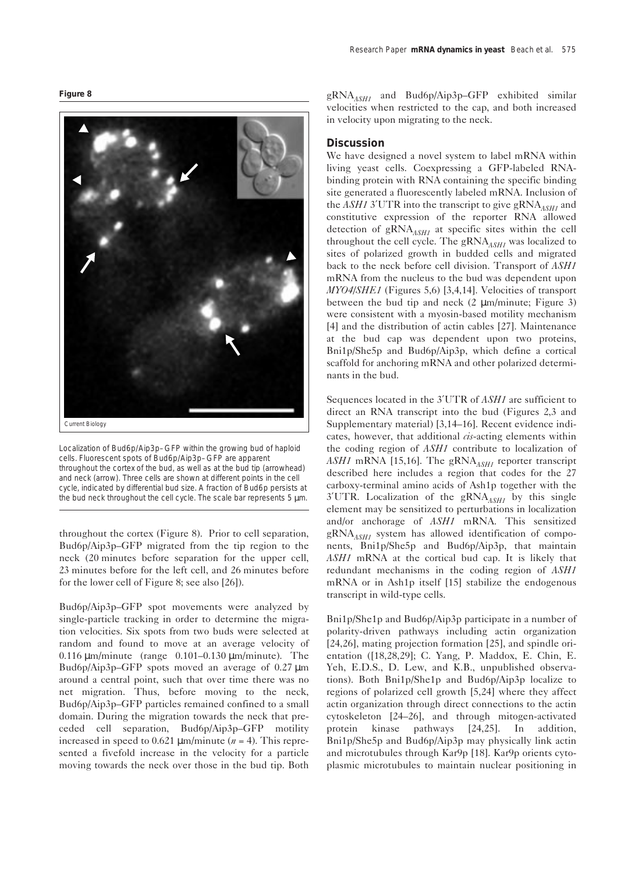**Figure 8**



Localization of Bud6p/Aip3p–GFP within the growing bud of haploid cells. Fluorescent spots of Bud6p/Aip3p–GFP are apparent throughout the cortex of the bud, as well as at the bud tip (arrowhead) and neck (arrow). Three cells are shown at different points in the cell cycle, indicated by differential bud size. A fraction of Bud6p persists at the bud neck throughout the cell cycle. The scale bar represents 5 µm.

throughout the cortex (Figure 8). Prior to cell separation, Bud6p/Aip3p–GFP migrated from the tip region to the neck (20 minutes before separation for the upper cell, 23 minutes before for the left cell, and 26 minutes before for the lower cell of Figure 8; see also [26]).

Bud6p/Aip3p–GFP spot movements were analyzed by single-particle tracking in order to determine the migration velocities. Six spots from two buds were selected at random and found to move at an average velocity of 0.116 µm/minute (range 0.101–0.130 µm/minute). The Bud6p/Aip3p–GFP spots moved an average of 0.27 µm around a central point, such that over time there was no net migration. Thus, before moving to the neck, Bud6p/Aip3p–GFP particles remained confined to a small domain. During the migration towards the neck that preceded cell separation, Bud6p/Aip3p–GFP motility increased in speed to  $0.621 \mu m/min$ ute ( $n = 4$ ). This represented a fivefold increase in the velocity for a particle moving towards the neck over those in the bud tip. Both

gRNA*ASH1* and Bud6p/Aip3p–GFP exhibited similar velocities when restricted to the cap, and both increased in velocity upon migrating to the neck.

## **Discussion**

We have designed a novel system to label mRNA within living yeast cells. Coexpressing a GFP-labeled RNAbinding protein with RNA containing the specific binding site generated a fluorescently labeled mRNA. Inclusion of the  $ASH13'UTR$  into the transcript to give  $\text{gRNA}_{ASH1}$  and constitutive expression of the reporter RNA allowed detection of gRNA*ASH1* at specific sites within the cell throughout the cell cycle. The gRNA<sub>ASH1</sub> was localized to sites of polarized growth in budded cells and migrated back to the neck before cell division. Transport of *ASH1* mRNA from the nucleus to the bud was dependent upon *MYO4/SHE1* (Figures 5,6) [3,4,14]. Velocities of transport between the bud tip and neck  $(2 \mu m/min)$  Figure 3) were consistent with a myosin-based motility mechanism [4] and the distribution of actin cables [27]. Maintenance at the bud cap was dependent upon two proteins, Bni1p/She5p and Bud6p/Aip3p, which define a cortical scaffold for anchoring mRNA and other polarized determinants in the bud.

Sequences located in the 3′UTR of *ASH1* are sufficient to direct an RNA transcript into the bud (Figures 2,3 and Supplementary material) [3,14–16]. Recent evidence indicates, however, that additional *cis*-acting elements within the coding region of *ASH1* contribute to localization of ASH1 mRNA [15,16]. The gRNA<sub>ASH1</sub> reporter transcript described here includes a region that codes for the 27 carboxy-terminal amino acids of Ash1p together with the 3'UTR. Localization of the gRNA<sub>ASH1</sub> by this single element may be sensitized to perturbations in localization and/or anchorage of *ASH1* mRNA. This sensitized gRNA<sub>ASH1</sub> system has allowed identification of components, Bni1p/She5p and Bud6p/Aip3p, that maintain *ASH1* mRNA at the cortical bud cap. It is likely that redundant mechanisms in the coding region of *ASH1* mRNA or in Ash1p itself [15] stabilize the endogenous transcript in wild-type cells.

Bni1p/She1p and Bud6p/Aip3p participate in a number of polarity-driven pathways including actin organization [24,26], mating projection formation [25], and spindle orientation ([18,28,29]; C. Yang, P. Maddox, E. Chin, E. Yeh, E.D.S., D. Lew, and K.B., unpublished observations). Both Bni1p/She1p and Bud6p/Aip3p localize to regions of polarized cell growth [5,24] where they affect actin organization through direct connections to the actin cytoskeleton [24–26], and through mitogen-activated protein kinase pathways [24,25]. In addition, Bni1p/She5p and Bud6p/Aip3p may physically link actin and microtubules through Kar9p [18]. Kar9p orients cytoplasmic microtubules to maintain nuclear positioning in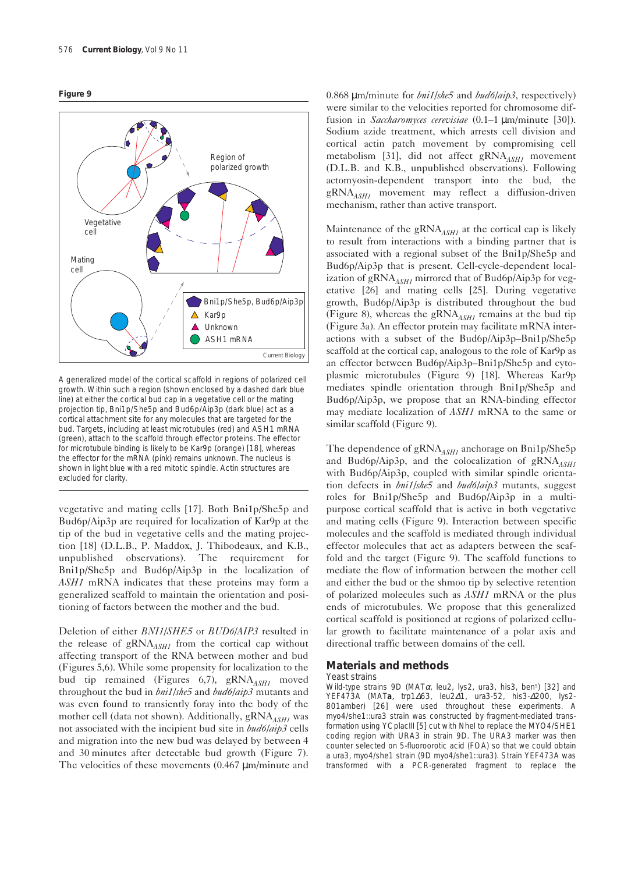



A generalized model of the cortical scaffold in regions of polarized cell growth. Within such a region (shown enclosed by a dashed dark blue line) at either the cortical bud cap in a vegetative cell or the mating projection tip, Bni1p/She5p and Bud6p/Aip3p (dark blue) act as a cortical attachment site for any molecules that are targeted for the bud. Targets, including at least microtubules (red) and *ASH1* mRNA (green), attach to the scaffold through effector proteins. The effector for microtubule binding is likely to be Kar9p (orange) [18], whereas the effector for the mRNA (pink) remains unknown. The nucleus is shown in light blue with a red mitotic spindle. Actin structures are excluded for clarity.

vegetative and mating cells [17]. Both Bni1p/She5p and Bud6p/Aip3p are required for localization of Kar9p at the tip of the bud in vegetative cells and the mating projection [18] (D.L.B., P. Maddox, J. Thibodeaux, and K.B., unpublished observations). The requirement for Bni1p/She5p and Bud6p/Aip3p in the localization of *ASH1* mRNA indicates that these proteins may form a generalized scaffold to maintain the orientation and positioning of factors between the mother and the bud.

Deletion of either *BNI1/SHE5* or *BUD6/AIP3* resulted in the release of gRNA<sub>ASH1</sub> from the cortical cap without affecting transport of the RNA between mother and bud (Figures 5,6). While some propensity for localization to the bud tip remained (Figures 6,7), gRNA<sub>ASH1</sub> moved throughout the bud in *bni1/she5* and *bud6/aip3* mutants and was even found to transiently foray into the body of the mother cell (data not shown). Additionally, gRNA<sub>ASH1</sub> was not associated with the incipient bud site in *bud6/aip3* cells and migration into the new bud was delayed by between 4 and 30 minutes after detectable bud growth (Figure 7). The velocities of these movements (0.467  $\mu$ m/minute and

0.868 µm/minute for *bni1/she5* and *bud6/aip3*, respectively) were similar to the velocities reported for chromosome diffusion in *Saccharomyces cerevisiae* (0.1–1 µm/minute [30]). Sodium azide treatment, which arrests cell division and cortical actin patch movement by compromising cell metabolism [31], did not affect gRNA<sub>ASH1</sub> movement (D.L.B. and K.B., unpublished observations). Following actomyosin-dependent transport into the bud, the gRNA*ASH1* movement may reflect a diffusion-driven mechanism, rather than active transport.

Maintenance of the gRNA<sub>*ASH1*</sub> at the cortical cap is likely to result from interactions with a binding partner that is associated with a regional subset of the Bni1p/She5p and Bud6p/Aip3p that is present. Cell-cycle-dependent localization of  $gRNA$ <sub>ASH1</sub> mirrored that of Bud6p/Aip3p for vegetative [26] and mating cells [25]. During vegetative growth, Bud6p/Aip3p is distributed throughout the bud (Figure 8), whereas the  $gRNA<sub>AGH1</sub>$  remains at the bud tip (Figure 3a). An effector protein may facilitate mRNA interactions with a subset of the Bud6p/Aip3p–Bni1p/She5p scaffold at the cortical cap, analogous to the role of Kar9p as an effector between Bud6p/Aip3p–Bni1p/She5p and cytoplasmic microtubules (Figure 9) [18]. Whereas Kar9p mediates spindle orientation through Bni1p/She5p and Bud6p/Aip3p, we propose that an RNA-binding effector may mediate localization of *ASH1* mRNA to the same or similar scaffold (Figure 9).

The dependence of gRNA<sub>ASH1</sub> anchorage on Bni1p/She5p and Bud6p/Aip3p, and the colocalization of  $gRNA$ <sub>ASH1</sub> with Bud6p/Aip3p, coupled with similar spindle orientation defects in *bni1/she5* and *bud6/aip3* mutants, suggest roles for Bni1p/She5p and Bud6p/Aip3p in a multipurpose cortical scaffold that is active in both vegetative and mating cells (Figure 9). Interaction between specific molecules and the scaffold is mediated through individual effector molecules that act as adapters between the scaffold and the target (Figure 9). The scaffold functions to mediate the flow of information between the mother cell and either the bud or the shmoo tip by selective retention of polarized molecules such as *ASH1* mRNA or the plus ends of microtubules. We propose that this generalized cortical scaffold is positioned at regions of polarized cellular growth to facilitate maintenance of a polar axis and directional traffic between domains of the cell.

# **Materials and methods**

### *Yeast strains*

Wild-type strains 9D (*MAT*α*, leu2, lys2, ura3, his3, bens*) [32] and YEF473A (*MATa*, *trp1*∆*63, leu2*∆*1, ura3-52, his3-*∆*200, lys2- 801amber*) [26] were used throughout these experiments. A *myo4/she1::ura3* strain was constructed by fragment-mediated transformation using YCplacIII [5] cut with *Nhe*I to replace the *MYO4/SHE1* coding region with *URA3* in strain 9D. The *URA3* marker was then counter selected on 5-fluoroorotic acid (FOA) so that we could obtain a *ura3*, *myo4/she1* strain (9D *myo4/she1::ura3*). Strain YEF473A was transformed with a PCR-generated fragment to replace the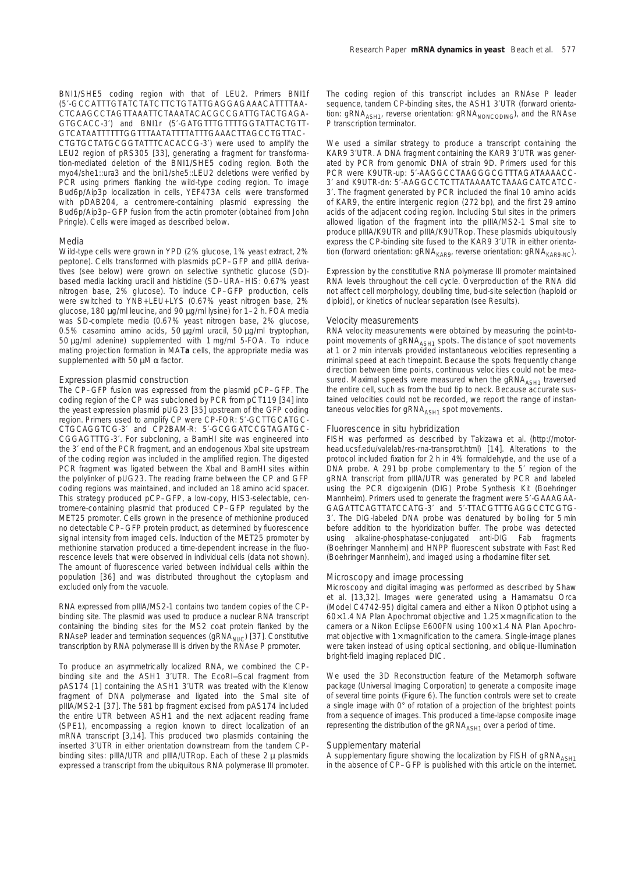*BNI1/SHE5* coding region with that of *LEU2*. Primers BNI1f (5′-GCCATTTGTATCTATCTTCTGTATTGAGGAGAAACATTTTAA-CTCAAGCCTAGTTAAATTCTAAATACACGCCGATTGTACTGAGA-GTGCACC-3′) and BNI1r (5′-GATGTTTGTTTTGGTATTACTGTT-GTCATAATTTTTTGGTTTAATATTTTATTTGAAACTTAGCCTGTTAC-CTGTGCTATGCGGTATTTCACACCG-3′) were used to amplify the *LEU2* region of pRS305 [33], generating a fragment for transformation-mediated deletion of the *BNI1/SHE5* coding region. Both the *myo4/she1::ura3* and the *bni1/she5::LEU2* deletions were verified by PCR using primers flanking the wild-type coding region. To image Bud6p/Aip3p localization in cells, YEF473A cells were transformed with pDAB204, a centromere-containing plasmid expressing the Bud6p/Aip3p–GFP fusion from the actin promoter (obtained from John Pringle). Cells were imaged as described below.

#### *Media*

Wild-type cells were grown in YPD (2% glucose, 1% yeast extract, 2% peptone). Cells transformed with plasmids pCP–GFP and pIIIA derivatives (see below) were grown on selective synthetic glucose (SD) based media lacking uracil and histidine (SD–URA–HIS: 0.67% yeast nitrogen base, 2% glucose). To induce CP–GFP production, cells were switched to YNB+LEU+LYS (0.67% yeast nitrogen base, 2% glucose, 180 µg/ml leucine, and 90 µg/ml lysine) for 1–2 h. FOA media was SD-complete media (0.67% yeast nitrogen base, 2% glucose, 0.5% casamino amino acids, 50 µg/ml uracil, 50 µg/ml tryptophan, 50 µg/ml adenine) supplemented with 1 mg/ml 5-FOA. To induce mating projection formation in *MATa* cells, the appropriate media was supplemented with 50  $\mu$ M  $\alpha$  factor.

#### *Expression plasmid construction*

The CP–GFP fusion was expressed from the plasmid pCP–GFP. The coding region of the CP was subcloned by PCR from pCT119 [34] into the yeast expression plasmid pUG23 [35] upstream of the GFP coding region. Primers used to amplify CP were CP-FOR: 5′-GCTTGCATGC-CTGCAGGTCG-3′ and CP2BAM-R: 5′-GCGGATCCGTAGATGC-CGGAGTTTG-3′. For subcloning, a *Bam*HI site was engineered into the 3′ end of the PCR fragment, and an endogenous *Xba*I site upstream of the coding region was included in the amplified region. The digested PCR fragment was ligated between the *Xba*I and *Bam*HI sites within the polylinker of pUG23. The reading frame between the CP and GFP coding regions was maintained, and included an 18 amino acid spacer. This strategy produced pCP–GFP, a low-copy, *HIS3*-selectable, centromere-containing plasmid that produced CP–GFP regulated by the *MET25* promoter. Cells grown in the presence of methionine produced no detectable CP–GFP protein product, as determined by fluorescence signal intensity from imaged cells. Induction of the *MET25* promoter by methionine starvation produced a time-dependent increase in the fluorescence levels that were observed in individual cells (data not shown). The amount of fluorescence varied between individual cells within the population [36] and was distributed throughout the cytoplasm and excluded only from the vacuole.

RNA expressed from pIIIA/MS2-1 contains two tandem copies of the CPbinding site. The plasmid was used to produce a nuclear RNA transcript containing the binding sites for the MS2 coat protein flanked by the RNAseP leader and termination sequences (gRNA<sub>NUC</sub>) [37]. Constitutive transcription by RNA polymerase III is driven by the RNAse P promoter.

To produce an asymmetrically localized RNA, we combined the CPbinding site and the *ASH1* 3′UTR. The *Eco*RI*—Sca*I fragment from pAS174 [1] containing the *ASH1* 3′UTR was treated with the Klenow fragment of DNA polymerase and ligated into the *Sma*I site of pIIIA/MS2-1 [37]. The 581 bp fragment excised from pAS174 included the entire UTR between *ASH1* and the next adjacent reading frame (*SPE1*), encompassing a region known to direct localization of an mRNA transcript [3,14]. This produced two plasmids containing the inserted 3′UTR in either orientation downstream from the tandem CPbinding sites: pIIIA/UTR and pIIIA/UTRop. Each of these  $2 \mu$  plasmids expressed a transcript from the ubiquitous RNA polymerase III promoter.

The coding region of this transcript includes an RNAse P leader sequence, tandem CP-binding sites, the *ASH1* 3′UTR (forward orientation: gRNA<sub>ASH1</sub>, reverse orientation: gRNA<sub>NONCODING</sub>), and the RNAse P transcription terminator.

We used a similar strategy to produce a transcript containing the *KAR9* 3′UTR. A DNA fragment containing the *KAR9* 3′UTR was generated by PCR from genomic DNA of strain 9D. Primers used for this PCR were K9UTR-up: 5′-AAGGCCTAAGGGCGTTTAGATAAAACC-3′ and K9UTR-dn: 5′-AAGGCCTCTTATAAAATCTAAAGCATCATCC-3′. The fragment generated by PCR included the final 10 amino acids of *KAR9*, the entire intergenic region (272 bp), and the first 29 amino acids of the adjacent coding region. Including *Stu*I sites in the primers allowed ligation of the fragment into the pIIIA/MS2-1 *Sma*I site to produce pIIIA/K9UTR and pIIIA/K9UTRop. These plasmids ubiquitously express the CP-binding site fused to the *KAR9* 3′UTR in either orientation (forward orientation: gRNA<sub>KAR9</sub>, reverse orientation: gRNA<sub>KAR9-NC</sub>).

Expression by the constitutive RNA polymerase III promoter maintained RNA levels throughout the cell cycle. Overproduction of the RNA did not affect cell morphology, doubling time, bud-site selection (haploid or diploid), or kinetics of nuclear separation (see Results).

#### *Velocity measurements*

RNA velocity measurements were obtained by measuring the point-topoint movements of gRNA<sub>ASH1</sub> spots. The distance of spot movements at 1 or 2 min intervals provided instantaneous velocities representing a minimal speed at each timepoint. Because the spots frequently change direction between time points, continuous velocities could not be measured. Maximal speeds were measured when the gRNA<sub>ASH1</sub> traversed the entire cell, such as from the bud tip to neck. Because accurate sustained velocities could not be recorded, we report the range of instantaneous velocities for gRNA<sub>ASH1</sub> spot movements.

# *Fluorescence* in situ *hybridization*

FISH was performed as described by Takizawa *et al.* (http://motorhead.ucsf.edu/valelab/res-rna-transprot.html) [14]. Alterations to the protocol included fixation for 2 h in 4% formaldehyde, and the use of a DNA probe. A 291 bp probe complementary to the 5′ region of the gRNA transcript from pIIIA/UTR was generated by PCR and labeled using the PCR digoxigenin (DIG) Probe Synthesis Kit (Boehringer Mannheim). Primers used to generate the fragment were 5′-GAAAGAA-GAGATTCAGTTATCCATG-3′ and 5′-TTACGTTTGAGGCCTCGTG-3′. The DIG-labeled DNA probe was denatured by boiling for 5 min before addition to the hybridization buffer. The probe was detected using alkaline-phosphatase-conjugated anti-DIG Fab fragments (Boehringer Mannheim) and HNPP fluorescent substrate with Fast Red (Boehringer Mannheim), and imaged using a rhodamine filter set.

#### *Microscopy and image processing*

Microscopy and digital imaging was performed as described by Shaw *et al.* [13,32]. Images were generated using a Hamamatsu Orca (Model C4742-95) digital camera and either a Nikon Optiphot using a 60× 1.4 NA Plan Apochromat objective and 1.25× magnification to the camera or a Nikon Eclipse E600FN using 100x 1.4 NA Plan Apochromat objective with  $1\times$  magnification to the camera. Single-image planes were taken instead of using optical sectioning, and oblique-illumination bright-field imaging replaced DIC.

We used the 3D Reconstruction feature of the Metamorph software package (Universal Imaging Corporation) to generate a composite image of several time points (Figure 6). The function controls were set to create a single image with 0° of rotation of a projection of the brightest points from a sequence of images. This produced a time-lapse composite image representing the distribution of the gRNA<sub>ASH1</sub> over a period of time.

#### *Supplementary material*

A supplementary figure showing the localization by FISH of gRNA<sub>ASH1</sub> in the absence of CP–GFP is published with this article on the internet.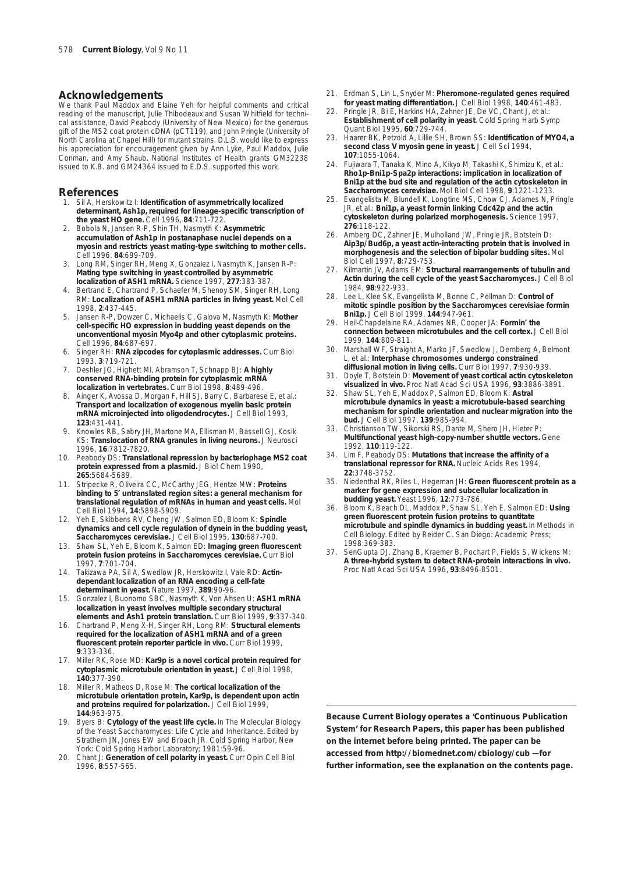### **Acknowledgements**

We thank Paul Maddox and Elaine Yeh for helpful comments and critical reading of the manuscript, Julie Thibodeaux and Susan Whitfield for technical assistance, David Peabody (University of New Mexico) for the generous gift of the MS2 coat protein cDNA (pCT119), and John Pringle (University of North Carolina at Chapel Hill) for mutant strains. D.L.B. would like to express his appreciation for encouragement given by Ann Lyke, Paul Maddox, Julie Conman, and Amy Shaub. National Institutes of Health grants GM32238 issued to K.B. and GM24364 issued to E.D.S. supported this work.

## **References**

- 1. Sil A, Herskowitz I: **Identification of asymmetrically localized determinant, Ash1p, required for lineage-specific transcription of the yeast HO gene.** *Cell* 1996, **84**:711-722.
- 2. Bobola N, Jansen R-P, Shin TH, Nasmyth K: **Asymmetric accumulation of Ash1p in postanaphase nuclei depends on a myosin and restricts yeast mating-type switching to mother cells.** *Cell* 1996, **84**:699-709.
- 3. Long RM, Singer RH, Meng X, Gonzalez I, Nasmyth K, Jansen R-P: **Mating type switching in yeast controlled by asymmetric localization of** *ASH1* **mRNA.** *Science* 1997, **277**:383-387.
- 4. Bertrand E, Chartrand P, Schaefer M, Shenoy SM, Singer RH, Long RM: **Localization of** *ASH1* **mRNA particles in living yeast.** *Mol Cell* 1998, **2**:437-445.
- 5. Jansen R-P, Dowzer C, Michaelis C, Galova M, Nasmyth K: **Mother cell-specific** *HO* **expression in budding yeast depends on the unconventional myosin Myo4p and other cytoplasmic proteins.** *Cell* 1996, **84**:687-697.
- 6. Singer RH: **RNA zipcodes for cytoplasmic addresses.** *Curr Biol* 1993, **3**:719-721.
- 7. Deshler JO, Highett MI, Abramson T, Schnapp BJ: **A highly conserved RNA-binding protein for cytoplasmic mRNA localization in vertebrates.** *Curr Biol* 1998, **8**:489-496.
- 8. Ainger K, Avossa D, Morgan F, Hill SJ, Barry C, Barbarese E, *et al.*: **Transport and localization of exogenous myelin basic protein mRNA microinjected into oligodendrocytes.** *J Cell Biol* 1993, **123**:431-441.
- 9. Knowles RB, Sabry JH, Martone MA, Ellisman M, Bassell GJ, Kosik KS: **Translocation of RNA granules in living neurons.** *J Neurosci* 1996, **16**:7812-7820.
- 10. Peabody DS: **Translational repression by bacteriophage MS2 coat protein expressed from a plasmid.** *J Biol Chem* 1990, **265**:5684-5689.
- 11. Stripecke R, Oliveira CC, McCarthy JEG, Hentze MW: **Proteins binding to 5**′ **untranslated region sites: a general mechanism for translational regulation of mRNAs in human and yeast cells.** *Mol Cell Biol* 1994, **14**:5898-5909.
- 12. Yeh E, Skibbens RV, Cheng JW, Salmon ED, Bloom K: **Spindle dynamics and cell cycle regulation of dynein in the budding yeast,** *Saccharomyces cerevisiae***.** *J Cell Biol* 1995, **130**:687-700.
- 13. Shaw SL, Yeh E, Bloom K, Salmon ED: **Imaging green fluorescent protein fusion proteins in** *Saccharomyces cerevisiae***.** *Curr Biol* 1997, **7**:701-704.
- 14. Takizawa PA, Sil A, Swedlow JR, Herskowitz I, Vale RD: **Actindependant localization of an RNA encoding a cell-fate determinant in yeast.** *Nature* 1997, **389**:90-96.
- 15. Gonzalez I, Buonomo SBC, Nasmyth K, Von Ahsen U: *ASH1* **mRNA localization in yeast involves multiple secondary structural elements and Ash1 protein translation.** *Curr Biol* 1999, **9**:337-340.
- 16. Chartrand P, Meng X-H, Singer RH, Long RM: **Structural elements required for the localization of** *ASH1* **mRNA and of a green fluorescent protein reporter particle** *in vivo***.** *Curr Biol* 1999, **9**:333-336.
- 17. Miller RK, Rose MD: **Kar9p is a novel cortical protein required for cytoplasmic microtubule orientation in yeast.** *J Cell Biol* 1998, **140**:377-390.
- 18. Miller R, Matheos D, Rose M: **The cortical localization of the microtubule orientation protein, Kar9p, is dependent upon actin and proteins required for polarization.** *J Cell Biol* 1999, **144**:963-975.
- 19. Byers B: **Cytology of the yeast life cycle.** In *The Molecular Biology of the Yeast* Saccharomyces*: Life Cycle and Inheritance.* Edited by Strathern JN, Jones EW and Broach JR. Cold Spring Harbor, New York: Cold Spring Harbor Laboratory; 1981:59-96.
- 20. Chant J: **Generation of cell polarity in yeast.** *Curr Opin Cell Biol* 1996, **8**:557-565.
- 21. Erdman S, Lin L, Snyder M: **Pheromone-regulated genes required for yeast mating differentiation.** *J Cell Biol* 1998, **140**:461-483.
- 22. Pringle JR, Bi E, Harkins HA, Zahner JE, De VC, Chant J, *et al.*: **Establishment of cell polarity in yeast***. Cold Spring Harb Symp Quant Biol* 1995, **60**:729-744.
- 23. Haarer BK, Petzold A, Lillie SH, Brown SS: **Identification of MYO4, a second class V myosin gene in yeast.** *J Cell Sci* 1994, **107**:1055-1064.
- 24. Fujiwara T, Tanaka K, Mino A, Kikyo M, Takashi K, Shimizu K, *et al.*: **Rho1p-Bni1p-Spa2p interactions: implication in localization of Bni1p at the bud site and regulation of the actin cytoskeleton in** *Saccharomyces cerevisiae***.** *Mol Biol Cell* 1998, **9**:1221-1233.
- 25. Evangelista M, Blundell K, Longtine MS, Chow CJ, Adames N, Pringle JR, *et al.*: **Bni1p, a yeast formin linking Cdc42p and the actin cytoskeleton during polarized morphogenesis.** *Science* 1997, **276**:118-122.
- 26. Amberg DC, Zahner JE, Mulholland JW, Pringle JR, Botstein D: **Aip3p/Bud6p, a yeast actin-interacting protein that is involved in morphogenesis and the selection of bipolar budding sites.** *Mol Biol Cell* 1997, **8**:729-753.
- 27. Kilmartin JV, Adams EM: **Structural rearrangements of tubulin and Actin during the cell cycle of the yeast** *Saccharomyces***.** *J Cell Biol* 1984, **98**:922-933.
- Lee L, Klee SK, Evangelista M, Bonne C, Pellman D: Control of **mitotic spindle position by the** *Saccharomyces cerevisiae* **formin Bni1p.** *J Cell Biol* 1999, **144**:947-961.
- 29. Heil-Chapdelaine RA, Adames NR, Cooper JA: **Formin**′ **the connection between microtubules and the cell cortex.** *J Cell Biol* 1999, **144**:809-811.
- 30. Marshall WF, Straight A, Marko JF, Swedlow J, Dernberg A, Belmont L, *et al.*: **Interphase chromosomes undergo constrained diffusional motion in living cells.** *Curr Biol* 1997, **7**:930-939.
- 31. Doyle T, Botstein D: **Movement of yeast cortical actin cytoskeleton visualized** *in vivo***.** *Proc Natl Acad Sci USA* 1996, **93**:3886-3891.
- 32. Shaw SL, Yeh E, Maddox P, Salmon ED, Bloom K: **Astral microtubule dynamics in yeast: a microtubule-based searching mechanism for spindle orientation and nuclear migration into the bud.** *J Cell Biol* 1997, **139**:985-994.
- 33. Christianson TW, Sikorski RS, Dante M, Shero JH, Hieter P: **Multifunctional yeast high-copy-number shuttle vectors.** *Gene* 1992, **110**:119-122.
- 34. Lim F, Peabody DS: **Mutations that increase the affinity of a translational repressor for RNA.** *Nucleic Acids Res* 1994, **22**:3748-3752.
- 35. Niedenthal RK, Riles L, Hegeman JH: **Green fluorescent protein as a marker for gene expression and subcellular localization in budding yeast.** *Yeast* 1996, **12**:773-786.
- 36. Bloom K, Beach DL, Maddox P, Shaw SL, Yeh E, Salmon ED: **Using green fluorescent protein fusion proteins to quantitate microtubule and spindle dynamics in budding yeast.** In *Methods in Cell Biology*. Edited by Reider C. San Diego: Academic Press; 1998:369-383.
- SenGupta DJ, Zhang B, Kraemer B, Pochart P, Fields S, Wickens M: **A three-hybrid system to detect RNA-protein interactions in vivo.** *Proc Natl Acad Sci USA* 1996, **93**:8496-8501.

**Because** *Current Biology* **operates a 'Continuous Publication System' for Research Papers, this paper has been published on the internet before being printed. The paper can be accessed from http://biomednet.com/cbiology/cub — for further information, see the explanation on the contents page.**